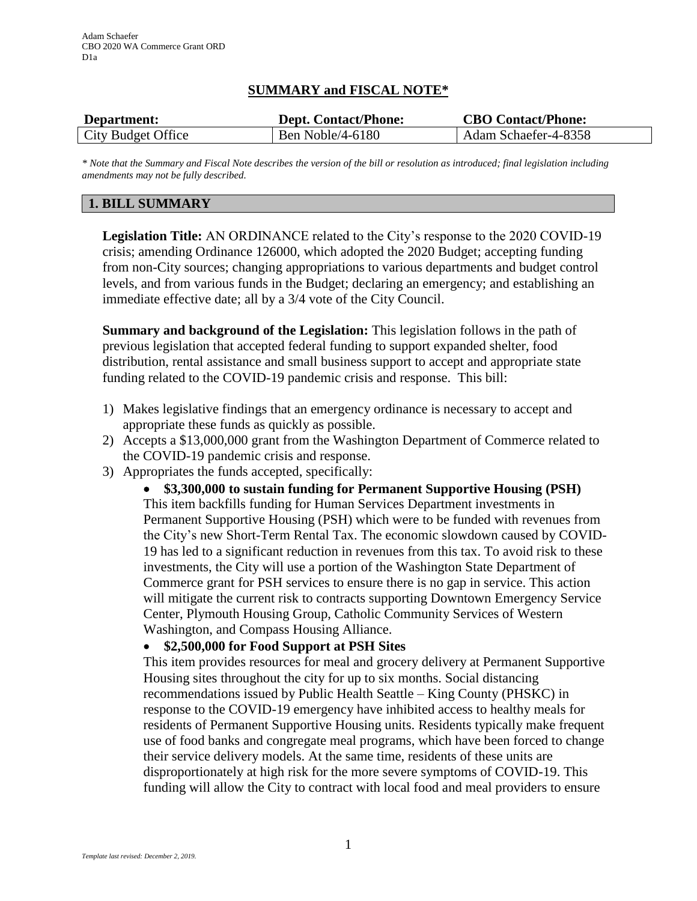## **SUMMARY and FISCAL NOTE\***

| Department:        | <b>Dept. Contact/Phone:</b> | <b>CBO Contact/Phone:</b> |
|--------------------|-----------------------------|---------------------------|
| City Budget Office | Ben Noble/4-6180            | Adam Schaefer-4-8358      |

*\* Note that the Summary and Fiscal Note describes the version of the bill or resolution as introduced; final legislation including amendments may not be fully described.*

## **1. BILL SUMMARY**

**Legislation Title:** AN ORDINANCE related to the City's response to the 2020 COVID-19 crisis; amending Ordinance 126000, which adopted the 2020 Budget; accepting funding from non-City sources; changing appropriations to various departments and budget control levels, and from various funds in the Budget; declaring an emergency; and establishing an immediate effective date; all by a 3/4 vote of the City Council.

**Summary and background of the Legislation:** This legislation follows in the path of previous legislation that accepted federal funding to support expanded shelter, food distribution, rental assistance and small business support to accept and appropriate state funding related to the COVID-19 pandemic crisis and response. This bill:

- 1) Makes legislative findings that an emergency ordinance is necessary to accept and appropriate these funds as quickly as possible.
- 2) Accepts a \$13,000,000 grant from the Washington Department of Commerce related to the COVID-19 pandemic crisis and response.
- 3) Appropriates the funds accepted, specifically:

 **\$3,300,000 to sustain funding for Permanent Supportive Housing (PSH)** This item backfills funding for Human Services Department investments in Permanent Supportive Housing (PSH) which were to be funded with revenues from the City's new Short-Term Rental Tax. The economic slowdown caused by COVID-19 has led to a significant reduction in revenues from this tax. To avoid risk to these investments, the City will use a portion of the Washington State Department of Commerce grant for PSH services to ensure there is no gap in service. This action will mitigate the current risk to contracts supporting Downtown Emergency Service Center, Plymouth Housing Group, Catholic Community Services of Western Washington, and Compass Housing Alliance.

### **\$2,500,000 for Food Support at PSH Sites**

This item provides resources for meal and grocery delivery at Permanent Supportive Housing sites throughout the city for up to six months. Social distancing recommendations issued by Public Health Seattle – King County (PHSKC) in response to the COVID-19 emergency have inhibited access to healthy meals for residents of Permanent Supportive Housing units. Residents typically make frequent use of food banks and congregate meal programs, which have been forced to change their service delivery models. At the same time, residents of these units are disproportionately at high risk for the more severe symptoms of COVID-19. This funding will allow the City to contract with local food and meal providers to ensure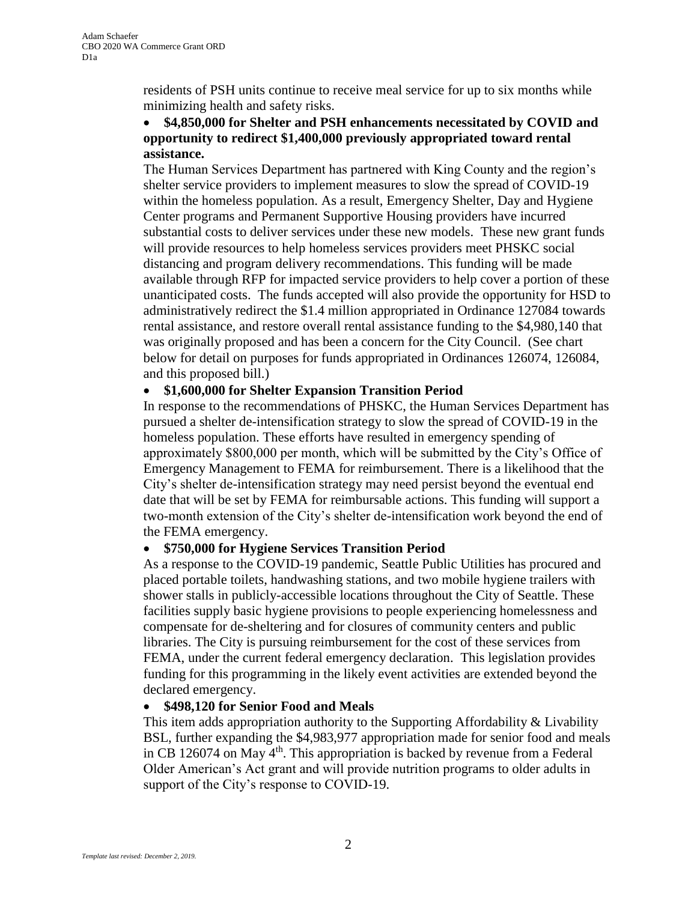residents of PSH units continue to receive meal service for up to six months while minimizing health and safety risks.

## **\$4,850,000 for Shelter and PSH enhancements necessitated by COVID and opportunity to redirect \$1,400,000 previously appropriated toward rental assistance.**

The Human Services Department has partnered with King County and the region's shelter service providers to implement measures to slow the spread of COVID-19 within the homeless population. As a result, Emergency Shelter, Day and Hygiene Center programs and Permanent Supportive Housing providers have incurred substantial costs to deliver services under these new models. These new grant funds will provide resources to help homeless services providers meet PHSKC social distancing and program delivery recommendations. This funding will be made available through RFP for impacted service providers to help cover a portion of these unanticipated costs. The funds accepted will also provide the opportunity for HSD to administratively redirect the \$1.4 million appropriated in Ordinance 127084 towards rental assistance, and restore overall rental assistance funding to the \$4,980,140 that was originally proposed and has been a concern for the City Council. (See chart below for detail on purposes for funds appropriated in Ordinances 126074, 126084, and this proposed bill.)

## **\$1,600,000 for Shelter Expansion Transition Period**

In response to the recommendations of PHSKC, the Human Services Department has pursued a shelter de-intensification strategy to slow the spread of COVID-19 in the homeless population. These efforts have resulted in emergency spending of approximately \$800,000 per month, which will be submitted by the City's Office of Emergency Management to FEMA for reimbursement. There is a likelihood that the City's shelter de-intensification strategy may need persist beyond the eventual end date that will be set by FEMA for reimbursable actions. This funding will support a two-month extension of the City's shelter de-intensification work beyond the end of the FEMA emergency.

### **\$750,000 for Hygiene Services Transition Period**

As a response to the COVID-19 pandemic, Seattle Public Utilities has procured and placed portable toilets, handwashing stations, and two mobile hygiene trailers with shower stalls in publicly-accessible locations throughout the City of Seattle. These facilities supply basic hygiene provisions to people experiencing homelessness and compensate for de-sheltering and for closures of community centers and public libraries. The City is pursuing reimbursement for the cost of these services from FEMA, under the current federal emergency declaration. This legislation provides funding for this programming in the likely event activities are extended beyond the declared emergency.

### **\$498,120 for Senior Food and Meals**

This item adds appropriation authority to the Supporting Affordability & Livability BSL, further expanding the \$4,983,977 appropriation made for senior food and meals in CB 126074 on May  $4<sup>th</sup>$ . This appropriation is backed by revenue from a Federal Older American's Act grant and will provide nutrition programs to older adults in support of the City's response to COVID-19.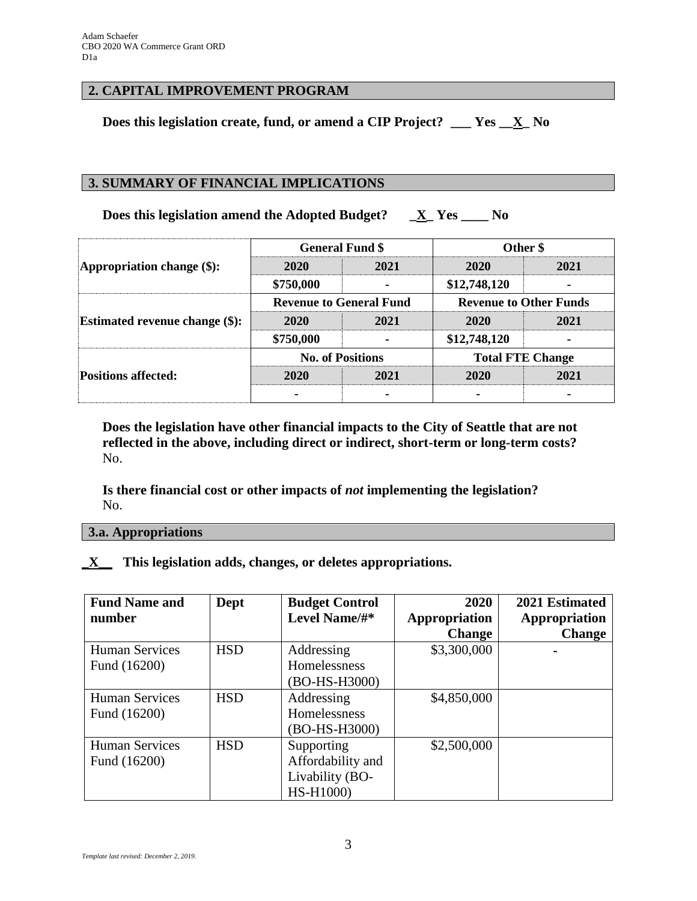## **2. CAPITAL IMPROVEMENT PROGRAM**

**Does this legislation create, fund, or amend a CIP Project? \_\_\_ Yes \_\_X\_ No**

## **3. SUMMARY OF FINANCIAL IMPLICATIONS**

**Does this legislation amend the Adopted Budget? \_X\_ Yes \_\_\_\_ No**

| Appropriation change $(\$)$ :         | <b>General Fund \$</b>         |      | Other \$                      |      |
|---------------------------------------|--------------------------------|------|-------------------------------|------|
|                                       | 2020                           | 2021 | <b>2020</b>                   | 2021 |
|                                       | \$750,000                      |      | \$12,748,120                  |      |
| <b>Estimated revenue change (\$):</b> | <b>Revenue to General Fund</b> |      | <b>Revenue to Other Funds</b> |      |
|                                       | 2020                           | 2021 | 2020                          | 2021 |
|                                       | \$750,000                      |      | \$12,748,120                  |      |
| <b>Positions affected:</b>            | <b>No. of Positions</b>        |      | <b>Total FTE Change</b>       |      |
|                                       | 2020                           | 2021 | 2020                          | 2021 |
|                                       |                                |      |                               |      |

**Does the legislation have other financial impacts to the City of Seattle that are not reflected in the above, including direct or indirect, short-term or long-term costs?** No.

**Is there financial cost or other impacts of** *not* **implementing the legislation?** No.

**3.a. Appropriations**

**\_X\_\_ This legislation adds, changes, or deletes appropriations.**

| <b>Fund Name and</b>  | Dept       | <b>Budget Control</b> | 2020          | 2021 Estimated |
|-----------------------|------------|-----------------------|---------------|----------------|
| number                |            | Level Name/#*         | Appropriation | Appropriation  |
|                       |            |                       | <b>Change</b> | <b>Change</b>  |
| <b>Human Services</b> | <b>HSD</b> | Addressing            | \$3,300,000   | $\blacksquare$ |
| Fund (16200)          |            | Homelessness          |               |                |
|                       |            | (BO-HS-H3000)         |               |                |
| <b>Human Services</b> | <b>HSD</b> | Addressing            | \$4,850,000   |                |
| Fund (16200)          |            | Homelessness          |               |                |
|                       |            | (BO-HS-H3000)         |               |                |
| <b>Human Services</b> | <b>HSD</b> | Supporting            | \$2,500,000   |                |
| Fund (16200)          |            | Affordability and     |               |                |
|                       |            | Livability (BO-       |               |                |
|                       |            | HS-H1000)             |               |                |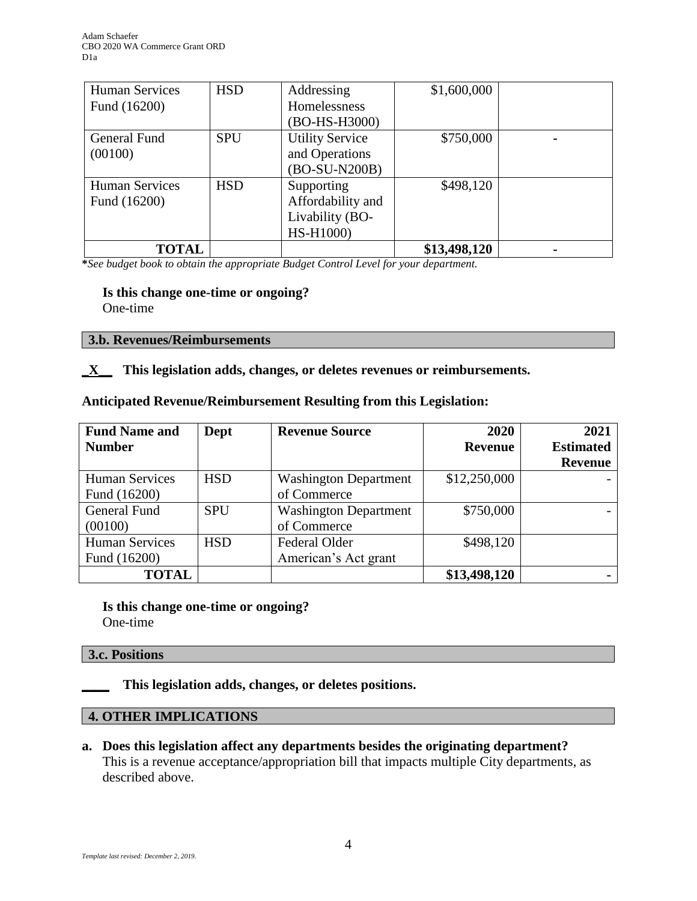| <b>Human Services</b> | <b>HSD</b> | Addressing             | \$1,600,000  |  |
|-----------------------|------------|------------------------|--------------|--|
| Fund (16200)          |            | Homelessness           |              |  |
|                       |            | (BO-HS-H3000)          |              |  |
| General Fund          | <b>SPU</b> | <b>Utility Service</b> | \$750,000    |  |
| (00100)               |            | and Operations         |              |  |
|                       |            | (BO-SU-N200B)          |              |  |
| <b>Human Services</b> | <b>HSD</b> | Supporting             | \$498,120    |  |
| Fund (16200)          |            | Affordability and      |              |  |
|                       |            | Livability (BO-        |              |  |
|                       |            | HS-H1000)              |              |  |
| <b>TOTAL</b>          |            |                        | \$13,498,120 |  |

**\****See budget book to obtain the appropriate Budget Control Level for your department.*

#### **Is this change one-time or ongoing?**

One-time

#### **3.b. Revenues/Reimbursements**

### **\_X\_\_ This legislation adds, changes, or deletes revenues or reimbursements.**

#### **Anticipated Revenue/Reimbursement Resulting from this Legislation:**

| <b>Fund Name and</b>  | Dept       | <b>Revenue Source</b>        | 2020           | 2021             |
|-----------------------|------------|------------------------------|----------------|------------------|
| <b>Number</b>         |            |                              | <b>Revenue</b> | <b>Estimated</b> |
|                       |            |                              |                | <b>Revenue</b>   |
| <b>Human Services</b> | <b>HSD</b> | <b>Washington Department</b> | \$12,250,000   |                  |
| Fund (16200)          |            | of Commerce                  |                |                  |
| General Fund          | <b>SPU</b> | <b>Washington Department</b> | \$750,000      |                  |
| (00100)               |            | of Commerce                  |                |                  |
| <b>Human Services</b> | <b>HSD</b> | <b>Federal Older</b>         | \$498,120      |                  |
| Fund (16200)          |            | American's Act grant         |                |                  |
| <b>TOTAL</b>          |            |                              | \$13,498,120   |                  |

**Is this change one-time or ongoing?** One-time

### **3.c. Positions**

**\_\_\_\_ This legislation adds, changes, or deletes positions.**

# **4. OTHER IMPLICATIONS**

**a. Does this legislation affect any departments besides the originating department?** This is a revenue acceptance/appropriation bill that impacts multiple City departments, as described above.